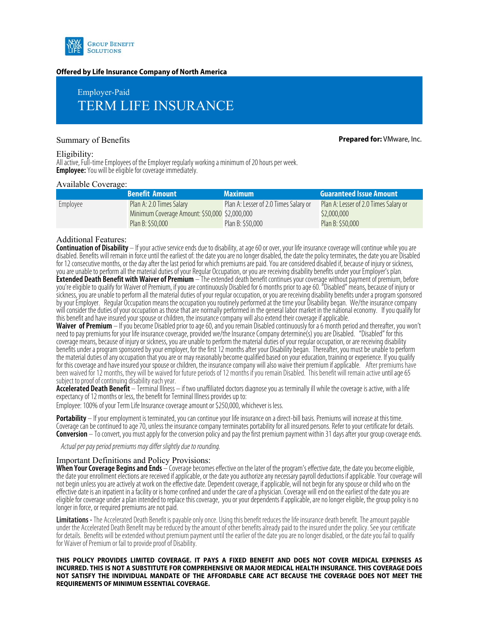

### **Offered by Life Insurance Company of North America**

# Employer-Paid TERM LIFE INSURANCE

Summary of Benefits **Prepared for:** VMware, Inc.

#### Eligibility:

All active, Full-time Employees of the Employer regularly working a minimum of 20 hours per week. **Employee:** You will be eligible for coverage immediately.

#### Available Coverage:

|          | <b>Benefit Amount</b>                         | <b>Maximum</b>                        | <b>Guaranteed Issue Amount</b>        |
|----------|-----------------------------------------------|---------------------------------------|---------------------------------------|
| Employee | Plan A: 2.0 Times Salary                      | Plan A: Lesser of 2.0 Times Salary or | Plan A: Lesser of 2.0 Times Salary or |
|          | Minimum Coverage Amount: \$50,000 \$2,000,000 |                                       | \$2,000,000                           |
|          | Plan B: \$50,000                              | Plan B: \$50,000                      | Plan B: \$50,000                      |

## Additional Features:

**Continuation of Disability** – If your active service ends due to disability, at age 60 or over, your life insurance coverage will continue while you are disabled. Benefits will remain in force until the earliest of: the date you are no longer disabled, the date the policy terminates, the date you are Disabled<br>for 12 consecutive months, or the day after the last period for you are unable to perform all the material duties of your Regular Occupation, or you are receiving disability benefits under your Employer's plan.

**Extended Death Benefit with Waiver of Premium** - The extended death benefit continues your coverage without payment of premium, before you're eligible to qualify for Waiver of Premium, if you are continuously Disabled for sickness, you are unable to perform all the material duties of your regular occupation, or you are receiving disability benefits under a program sponsored<br>by your Employer. Regular Occupation means the occupation you routi will consider the duties of your occupation as those that are normally performed in the general labor market in the national economy. If you qualify for this benefit and have insured your spouse or children, the insurance company will also extend their coverage if applicable.

Waiver of Premium - If you become Disabled prior to age 60, and you remain Disabled continuously for a 6 month period and thereafter, you won't need to pay premiums for your life insurance coverage, provided we/the Insuran coverage means, because of injury or sickness, you are unable to perform the material duties of your regular occupation, or are receiving disability benefits under a program sponsored by your employer, for the first 12 months after your Disability began. Thereafter, you must be unable to perform the material duties of any occupation that you are or may reasonably become qualified based on your education, training or experience. If you qualify for this coverage and have insured your spouse or children, the insurance company will also waive their premium if applicable. After premiums have been waived for 12 months, they will be waived for future periods of 12 months if you remain Disabled. This benefit will remain active until age 65 subject to proof of continuing disability each year.

Accelerated Death Benefit – Terminal Illness – if two unaffiliated doctors diagnose you as terminally ill while the coverage is active, with a life expectancy of 12 months or less, the benefit for Terminal Illness provides up to:

Employee: 100% of your Term Life Insurance coverage amount or \$250,000, whichever is less.

**Portability** – If your employment is terminated, you can continue your life insurance on a direct-bill basis. Premiums will increase at this time. Coverage can be continued to age 70, unless the insurance company terminates portability for all insured persons. Refer to your certificate for details. **Conversion** – To convert, you must apply for the conversion policy and pay the first premium payment within 31 days after your group coverage ends.

Actual per pay period premiums may differ slightly due to rounding.

### Important Definitions and Policy Provisions:

**When Your Coverage Begins and Ends** – Coverage becomes effective on the later of the program's effective date, the date you become eligible, the date your enrollment elections are received if applicable, or the date you authorize any necessary payroll deductions if applicable. Your coverage will not begin unless you are actively at work on the effective date. Dependent coverage, if applicable, will not begin for any spouse or child who on the effective date is an inpatient in a facility or is home confined and under the care of a physician. Coverage will end on the earliest of the date you are eligible for coverage under a plan intended to replace this coverage, you or your dependents if applicable, are no longer eligible, the group policy is no longer in force, or required premiums are not paid.

**Limitations -** The Accelerated Death Benefit is payable only once. Using this benefit reduces the life insurance death benefit. The amount payable under the Accelerated Death Benefit may be reduced by the amount of other benefits already paid to the insured under the policy. See your certificate for details. Benefits will be extended without premium payment until the earlier of the date you are no longer disabled, or the date you fail to qualify for Waiver of Premium or fail to provide proof of Disability.

**THIS POLICY PROVIDES LIMITED COVERAGE. IT PAYS A FIXED BENEFIT AND DOES NOT COVER MEDICAL EXPENSES AS INCURRED. THIS IS NOT A SUBSTITUTE FOR COMPREHENSIVE OR MAJOR MEDICAL HEALTH INSURANCE. THIS COVERAGE DOES NOT SATISFY THE INDIVIDUAL MANDATE OF THE AFFORDABLE CARE ACT BECAUSE THE COVERAGE DOES NOT MEET THE REQUIREMENTS OF MINIMUM ESSENTIAL COVERAGE.**